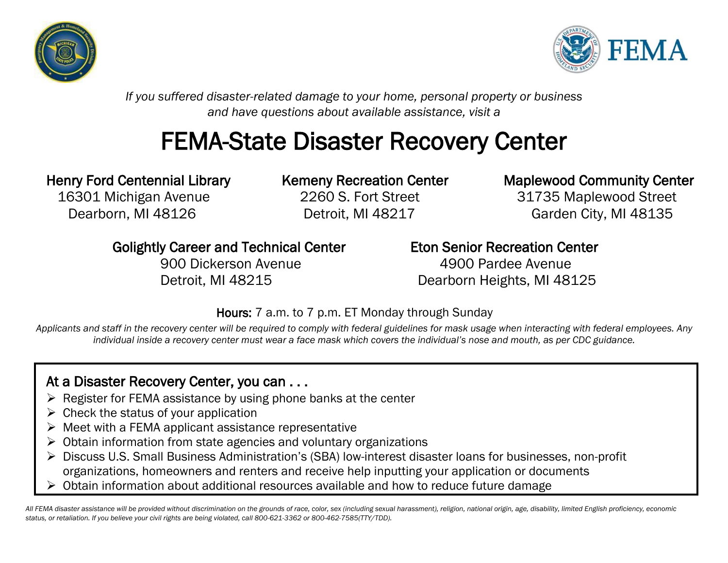



*If you suffered disaster-related damage to your home, personal property or business and have questions about available assistance, visit a*

# FEMA-State Disaster Recovery Center

 16301 Michigan Avenue 2260 S. Fort Street 31735 Maplewood Street Dearborn, MI 48126 Detroit, MI 48217 Garden City, MI 48135

### Henry Ford Centennial Library Kemeny Recreation Center Maplewood Community Center

Golightly Career and Technical Center Eton Senior Recreation Center

 900 Dickerson Avenue 4900 Pardee Avenue Detroit, MI 48215 Dearborn Heights, MI 48125

Hours: 7 a.m. to 7 p.m. ET Monday through Sunday

*Applicants and staff in the recovery center will be required to comply with federal guidelines for mask usage when interacting with federal employees. Any individual inside a recovery center must wear a face mask which covers the individual's nose and mouth, as per CDC guidance.*

### At a Disaster Recovery Center, you can . . .

- $\triangleright$  Register for FEMA assistance by using phone banks at the center
- $\triangleright$  Check the status of your application
- $\triangleright$  Meet with a FEMA applicant assistance representative
- ➢ Obtain information from state agencies and voluntary organizations
- ➢ Discuss U.S. Small Business Administration's (SBA) low-interest disaster loans for businesses, non-profit organizations, homeowners and renters and receive help inputting your application or documents
- ➢ Obtain information about additional resources available and how to reduce future damage

*All FEMA disaster assistance will be provided without discrimination on the grounds of race, color, sex (including sexual harassment), religion, national origin, age, disability, limited English proficiency, economic status, or retaliation. If you believe your civil rights are being violated, call 800-621-3362 or 800-462-7585(TTY/TDD).*